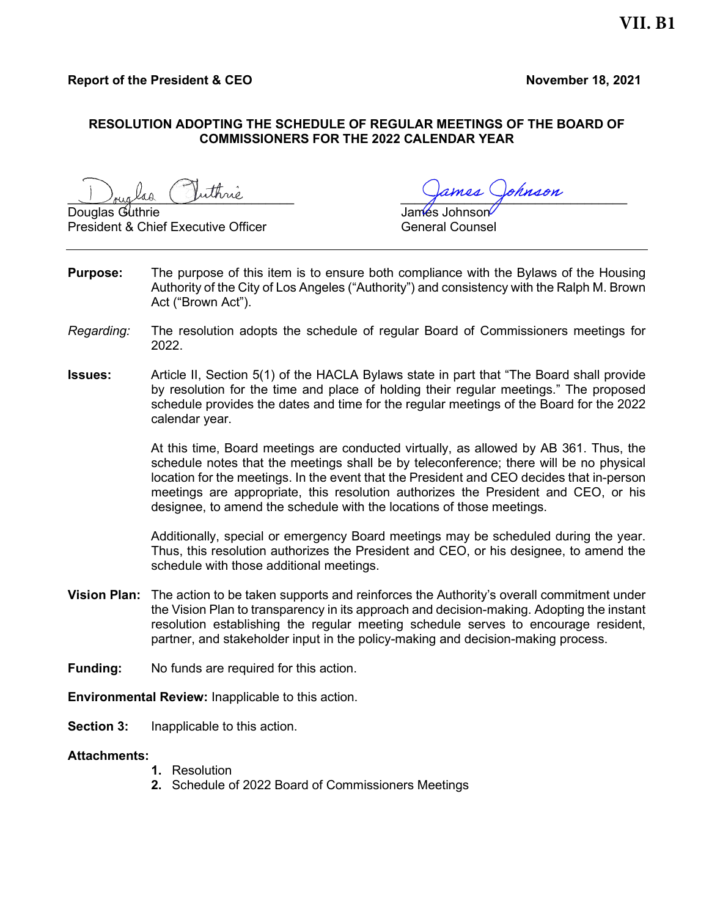## RESOLUTION ADOPTING THE SCHEDULE OF REGULAR MEETINGS OF THE BOARD OF COMMISSIONERS FOR THE 2022 CALENDAR YEAR

Douglas Guthrie President & Chief Executive Officer General Counsel

uthrie

- **Purpose:** The purpose of this item is to ensure both compliance with the Bylaws of the Housing Authority of the City of Los Angeles ("Authority") and consistency with the Ralph M. Brown Act ("Brown Act").
- Regarding: The resolution adopts the schedule of regular Board of Commissioners meetings for 2022.
- Issues: Article II, Section 5(1) of the HACLA Bylaws state in part that "The Board shall provide by resolution for the time and place of holding their regular meetings." The proposed schedule provides the dates and time for the regular meetings of the Board for the 2022 calendar year.

At this time, Board meetings are conducted virtually, as allowed by AB 361. Thus, the schedule notes that the meetings shall be by teleconference; there will be no physical location for the meetings. In the event that the President and CEO decides that in-person meetings are appropriate, this resolution authorizes the President and CEO, or his designee, to amend the schedule with the locations of those meetings.

Additionally, special or emergency Board meetings may be scheduled during the year. Thus, this resolution authorizes the President and CEO, or his designee, to amend the schedule with those additional meetings.

- Vision Plan: The action to be taken supports and reinforces the Authority's overall commitment under the Vision Plan to transparency in its approach and decision-making. Adopting the instant resolution establishing the regular meeting schedule serves to encourage resident, partner, and stakeholder input in the policy-making and decision-making process.
- Funding: No funds are required for this action.
- Environmental Review: Inapplicable to this action.
- Section 3: Inapplicable to this action.

## Attachments:

- 1. Resolution
- 2. Schedule of 2022 Board of Commissioners Meetings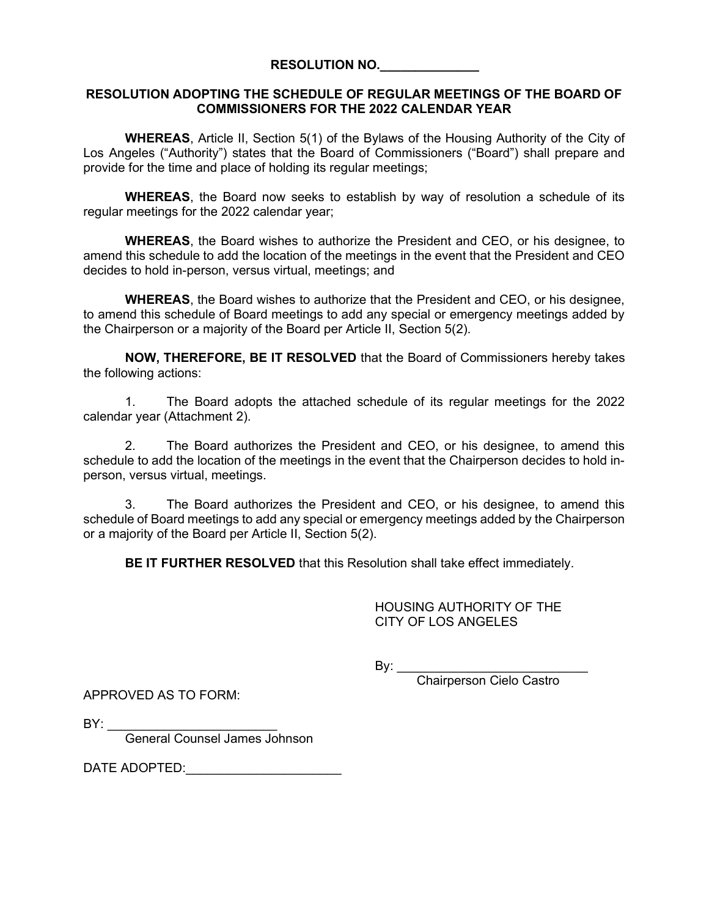## RESOLUTION ADOPTING THE SCHEDULE OF REGULAR MEETINGS OF THE BOARD OF COMMISSIONERS FOR THE 2022 CALENDAR YEAR

WHEREAS, Article II, Section 5(1) of the Bylaws of the Housing Authority of the City of Los Angeles ("Authority") states that the Board of Commissioners ("Board") shall prepare and provide for the time and place of holding its regular meetings;

WHEREAS, the Board now seeks to establish by way of resolution a schedule of its regular meetings for the 2022 calendar year;

WHEREAS, the Board wishes to authorize the President and CEO, or his designee, to amend this schedule to add the location of the meetings in the event that the President and CEO decides to hold in-person, versus virtual, meetings; and

WHEREAS, the Board wishes to authorize that the President and CEO, or his designee, to amend this schedule of Board meetings to add any special or emergency meetings added by the Chairperson or a majority of the Board per Article II, Section 5(2).

NOW, THEREFORE, BE IT RESOLVED that the Board of Commissioners hereby takes the following actions:

1. The Board adopts the attached schedule of its regular meetings for the 2022 calendar year (Attachment 2).

2. The Board authorizes the President and CEO, or his designee, to amend this schedule to add the location of the meetings in the event that the Chairperson decides to hold inperson, versus virtual, meetings.

3. The Board authorizes the President and CEO, or his designee, to amend this schedule of Board meetings to add any special or emergency meetings added by the Chairperson or a majority of the Board per Article II, Section 5(2).

BE IT FURTHER RESOLVED that this Resolution shall take effect immediately.

HOUSING AUTHORITY OF THE CITY OF LOS ANGELES

By:  $\_\_$ 

Chairperson Cielo Castro

APPROVED AS TO FORM:

 $BY:$ 

General Counsel James Johnson

DATE ADOPTED: